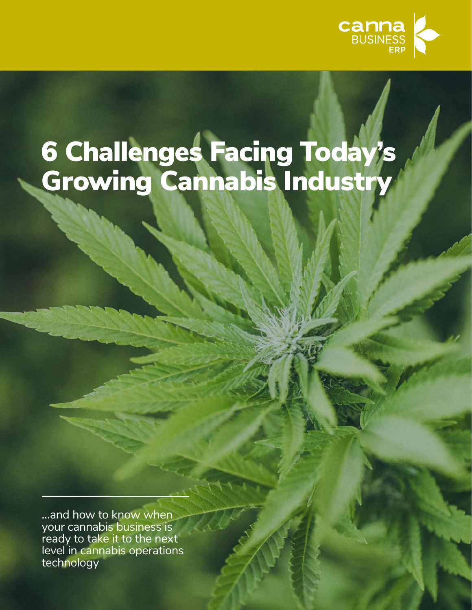

# 6 Challenges Facing Today's Growing Cannabis Industry

...and how to know when your cannabis business is ready to take it to the next level in cannabis operations technology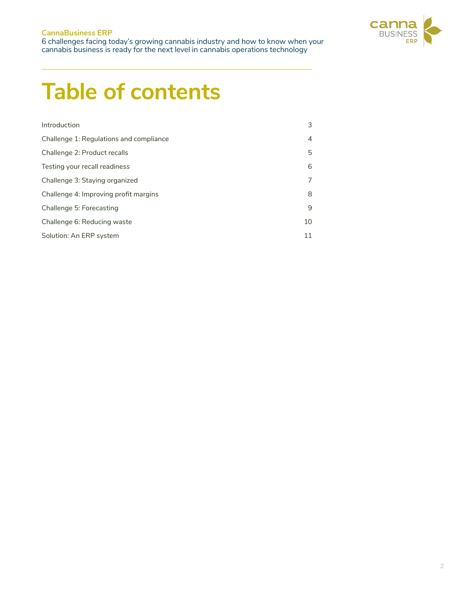#### **CannaBusiness ERP** 6 challenges facing today's growing cannabis industry and how to know when your cannabis business is ready for the next level in cannabis operations technology



### **Table of contents**

| Introduction                            | 3              |
|-----------------------------------------|----------------|
| Challenge 1: Regulations and compliance | $\overline{4}$ |
| Challenge 2: Product recalls            | 5              |
| Testing your recall readiness           | 6              |
| Challenge 3: Staying organized          | 7              |
| Challenge 4: Improving profit margins   | 8              |
| Challenge 5: Forecasting                | 9              |
| Challenge 6: Reducing waste             | 10             |
| Solution: An ERP system                 | 11             |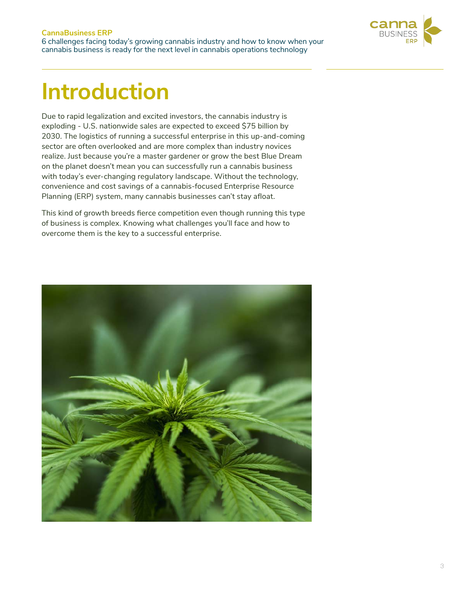

### **Introduction**

Due to rapid legalization and excited investors, the cannabis industry is exploding - U.S. nationwide sales are expected to exceed \$75 billion by 2030. The logistics of running a successful enterprise in this up-and-coming sector are often overlooked and are more complex than industry novices realize. Just because you're a master gardener or grow the best Blue Dream on the planet doesn't mean you can successfully run a cannabis business with today's ever-changing regulatory landscape. Without the technology, convenience and cost savings of a cannabis-focused Enterprise Resource Planning (ERP) system, many cannabis businesses can't stay afloat.

This kind of growth breeds fierce competition even though running this type of business is complex. Knowing what challenges you'll face and how to overcome them is the key to a successful enterprise.

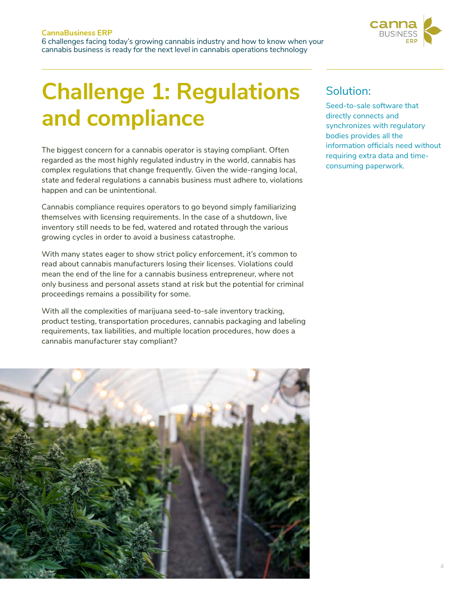

## **Challenge 1: Regulations and compliance**

The biggest concern for a cannabis operator is staying compliant. Often regarded as the most highly regulated industry in the world, cannabis has complex regulations that change frequently. Given the wide-ranging local, state and federal regulations a cannabis business must adhere to, violations happen and can be unintentional.

Cannabis compliance requires operators to go beyond simply familiarizing themselves with licensing requirements. In the case of a shutdown, live inventory still needs to be fed, watered and rotated through the various growing cycles in order to avoid a business catastrophe.

With many states eager to show strict policy enforcement, it's common to read about cannabis manufacturers losing their licenses. Violations could mean the end of the line for a cannabis business entrepreneur, where not only business and personal assets stand at risk but the potential for criminal proceedings remains a possibility for some.

With all the complexities of marijuana seed-to-sale inventory tracking, product testing, transportation procedures, cannabis packaging and labeling requirements, tax liabilities, and multiple location procedures, how does a cannabis manufacturer stay compliant?



### Solution:

Seed-to-sale software that directly connects and synchronizes with regulatory bodies provides all the information officials need without requiring extra data and timeconsuming paperwork.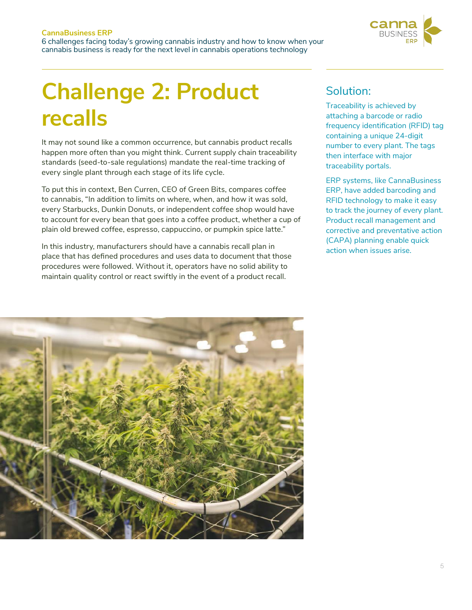

### **Challenge 2: Product recalls**

It may not sound like a common occurrence, but cannabis product recalls happen more often than you might think. Current supply chain traceability standards (seed-to-sale regulations) mandate the real-time tracking of every single plant through each stage of its life cycle.

To put this in context, Ben Curren, CEO of Green Bits, compares coffee to cannabis, "In addition to limits on where, when, and how it was sold, every Starbucks, Dunkin Donuts, or independent coffee shop would have to account for every bean that goes into a coffee product, whether a cup of plain old brewed coffee, espresso, cappuccino, or pumpkin spice latte."

In this industry, manufacturers should have a cannabis recall plan in place that has defined procedures and uses data to document that those procedures were followed. Without it, operators have no solid ability to maintain quality control or react swiftly in the event of a product recall.

#### Solution:

Traceability is achieved by attaching a barcode or radio frequency identification (RFID) tag containing a unique 24-digit number to every plant. The tags then interface with major traceability portals.

ERP systems, like CannaBusiness ERP, have added barcoding and RFID technology to make it easy to track the journey of every plant. Product recall management and corrective and preventative action (CAPA) planning enable quick action when issues arise.

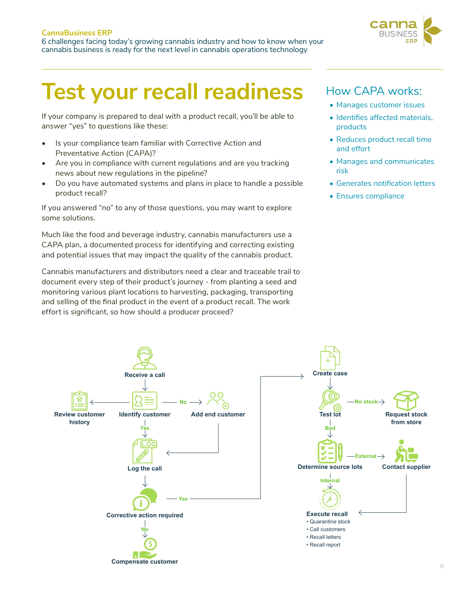

### **Test your recall readiness**

If your company is prepared to deal with a product recall, you'll be able to answer "yes" to questions like these:

- Is your compliance team familiar with Corrective Action and Preventative Action (CAPA)?
- Are you in compliance with current regulations and are you tracking news about new regulations in the pipeline?
- Do you have automated systems and plans in place to handle a possible product recall?

If you answered "no" to any of those questions, you may want to explore some solutions.

Much like the food and beverage industry, cannabis manufacturers use a CAPA plan, a documented process for identifying and correcting existing and potential issues that may impact the quality of the cannabis product.

Cannabis manufacturers and distributors need a clear and traceable trail to document every step of their product's journey - from planting a seed and monitoring various plant locations to harvesting, packaging, transporting and selling of the final product in the event of a product recall. The work effort is significant, so how should a producer proceed?

#### How CAPA works:

- Manages customer issues
- Identifies affected materials, products
- Reduces product recall time and effort
- Manages and communicates risk
- Generates notification letters
- Ensures compliance

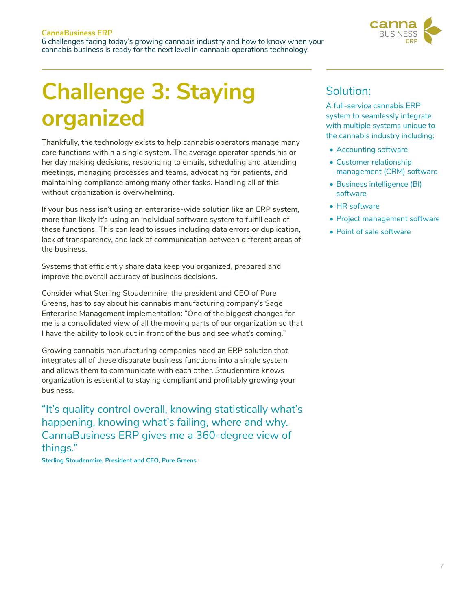

## **Challenge 3: Staying organized**

Thankfully, the technology exists to help cannabis operators manage many core functions within a single system. The average operator spends his or her day making decisions, responding to emails, scheduling and attending meetings, managing processes and teams, advocating for patients, and maintaining compliance among many other tasks. Handling all of this without organization is overwhelming.

If your business isn't using an enterprise-wide solution like an ERP system, more than likely it's using an individual software system to fulfill each of these functions. This can lead to issues including data errors or duplication, lack of transparency, and lack of communication between different areas of the business.

Systems that efficiently share data keep you organized, prepared and improve the overall accuracy of business decisions.

Consider what Sterling Stoudenmire, the president and CEO of Pure Greens, has to say about his cannabis manufacturing company's Sage Enterprise Management implementation: "One of the biggest changes for me is a consolidated view of all the moving parts of our organization so that I have the ability to look out in front of the bus and see what's coming."

Growing cannabis manufacturing companies need an ERP solution that integrates all of these disparate business functions into a single system and allows them to communicate with each other. Stoudenmire knows organization is essential to staying compliant and profitably growing your business.

"It's quality control overall, knowing statistically what's happening, knowing what's failing, where and why. CannaBusiness ERP gives me a 360-degree view of things."

**Sterling Stoudenmire, President and CEO, Pure Greens**

#### Solution:

A full-service cannabis ERP system to seamlessly integrate with multiple systems unique to the cannabis industry including:

- Accounting software
- Customer relationship management (CRM) software
- Business intelligence (BI) software
- HR software
- Project management software
- Point of sale software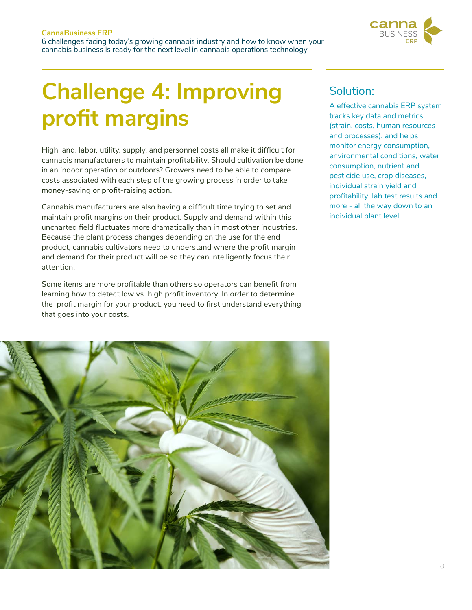

## **Challenge 4: Improving profit margins**

High land, labor, utility, supply, and personnel costs all make it difficult for cannabis manufacturers to maintain profitability. Should cultivation be done in an indoor operation or outdoors? Growers need to be able to compare costs associated with each step of the growing process in order to take money-saving or profit-raising action.

Cannabis manufacturers are also having a difficult time trying to set and maintain profit margins on their product. Supply and demand within this uncharted field fluctuates more dramatically than in most other industries. Because the plant process changes depending on the use for the end product, cannabis cultivators need to understand where the profit margin and demand for their product will be so they can intelligently focus their attention.

Some items are more profitable than others so operators can benefit from learning how to detect low vs. high profit inventory. In order to determine the profit margin for your product, you need to first understand everything that goes into your costs.

#### Solution:

A effective cannabis ERP system tracks key data and metrics (strain, costs, human resources and processes), and helps monitor energy consumption, environmental conditions, water consumption, nutrient and pesticide use, crop diseases, individual strain yield and profitability, lab test results and more - all the way down to an individual plant level.

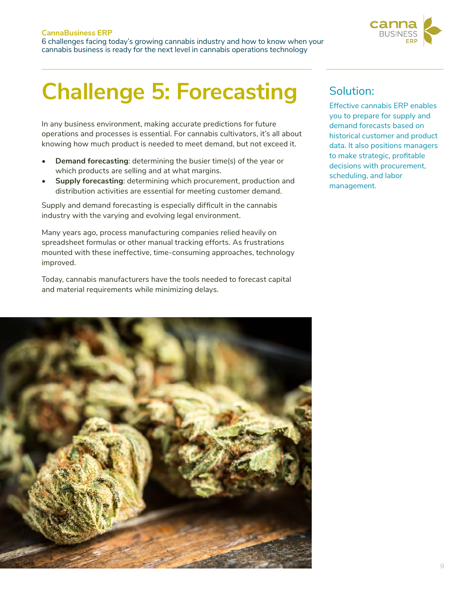#### **CannaBusiness ERP** 6 challenges facing today's growing cannabis industry and how to know when your cannabis business is ready for the next level in cannabis operations technology



### **Challenge 5: Forecasting**

In any business environment, making accurate predictions for future operations and processes is essential. For cannabis cultivators, it's all about knowing how much product is needed to meet demand, but not exceed it.

- **• Demand forecasting**: determining the busier time(s) of the year or which products are selling and at what margins.
- **• Supply forecasting**: determining which procurement, production and distribution activities are essential for meeting customer demand.

Supply and demand forecasting is especially difficult in the cannabis industry with the varying and evolving legal environment.

Many years ago, process manufacturing companies relied heavily on spreadsheet formulas or other manual tracking efforts. As frustrations mounted with these ineffective, time-consuming approaches, technology improved.

Today, cannabis manufacturers have the tools needed to forecast capital and material requirements while minimizing delays.



#### Solution:

Effective cannabis ERP enables you to prepare for supply and demand forecasts based on historical customer and product data. It also positions managers to make strategic, profitable decisions with procurement, scheduling, and labor management.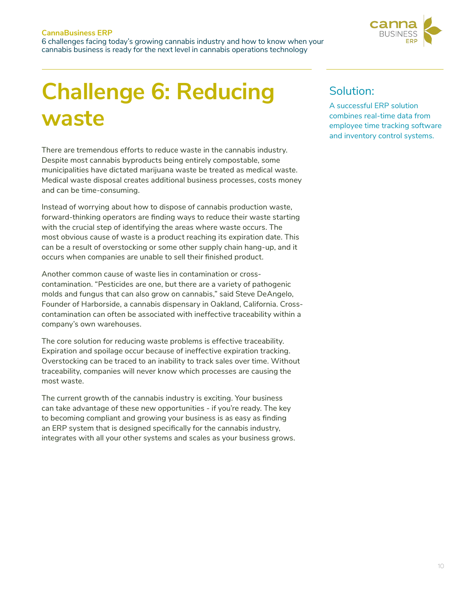

### **Challenge 6: Reducing waste**

There are tremendous efforts to reduce waste in the cannabis industry. Despite most cannabis byproducts being entirely compostable, some municipalities have dictated marijuana waste be treated as medical waste. Medical waste disposal creates additional business processes, costs money and can be time-consuming.

Instead of worrying about how to dispose of cannabis production waste, forward-thinking operators are finding ways to reduce their waste starting with the crucial step of identifying the areas where waste occurs. The most obvious cause of waste is a product reaching its expiration date. This can be a result of overstocking or some other supply chain hang-up, and it occurs when companies are unable to sell their finished product.

Another common cause of waste lies in contamination or crosscontamination. "Pesticides are one, but there are a variety of pathogenic molds and fungus that can also grow on cannabis," said Steve DeAngelo, Founder of Harborside, a cannabis dispensary in Oakland, California. Crosscontamination can often be associated with ineffective traceability within a company's own warehouses.

The core solution for reducing waste problems is effective traceability. Expiration and spoilage occur because of ineffective expiration tracking. Overstocking can be traced to an inability to track sales over time. Without traceability, companies will never know which processes are causing the most waste.

The current growth of the cannabis industry is exciting. Your business can take advantage of these new opportunities - if you're ready. The key to becoming compliant and growing your business is as easy as finding an ERP system that is designed specifically for the cannabis industry, integrates with all your other systems and scales as your business grows.

### Solution:

A successful ERP solution combines real-time data from employee time tracking software and inventory control systems.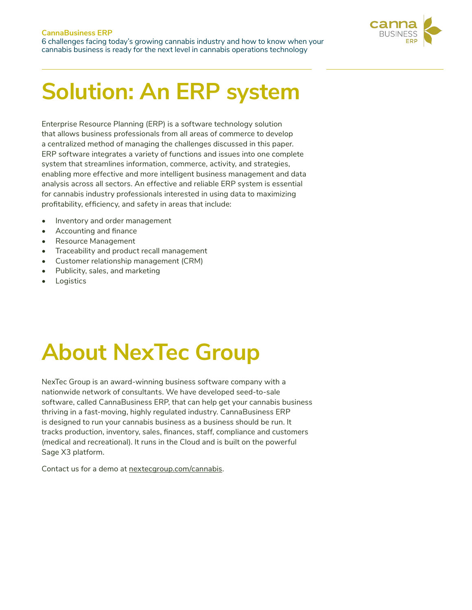

### **Solution: An ERP system**

Enterprise Resource Planning (ERP) is a software technology solution that allows business professionals from all areas of commerce to develop a centralized method of managing the challenges discussed in this paper. ERP software integrates a variety of functions and issues into one complete system that streamlines information, commerce, activity, and strategies, enabling more effective and more intelligent business management and data analysis across all sectors. An effective and reliable ERP system is essential for cannabis industry professionals interested in using data to maximizing profitability, efficiency, and safety in areas that include:

- Inventory and order management
- Accounting and finance
- Resource Management
- Traceability and product recall management
- Customer relationship management (CRM)
- Publicity, sales, and marketing
- **Logistics**

## **About NexTec Group**

NexTec Group is an award-winning business software company with a nationwide network of consultants. We have developed seed-to-sale software, called CannaBusiness ERP, that can help get your cannabis business thriving in a fast-moving, highly regulated industry. CannaBusiness ERP is designed to run your cannabis business as a business should be run. It tracks production, inventory, sales, finances, staff, compliance and customers (medical and recreational). It runs in the Cloud and is built on the powerful Sage X3 platform.

Contact us for a demo at nextecgroup.com/cannabis.